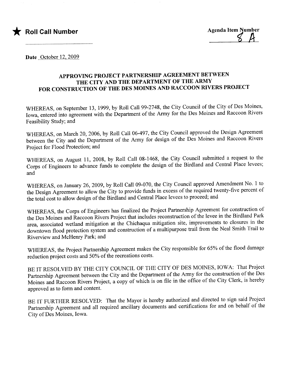

Date October 12, 2009.

## APPROVING PROJECT PARTNERSHIP AGREEMENT BETWEEN THE CITY AND THE DEPARTMENT OF THE ARMY FOR CONSTRUCTION OF THE DES MOINES AND RACCOON RIVERS PROJECT

WHEREAS, on September 13, 1999, by Roll Call 99-2748, the City Council of the City of Des Moines, Iowa, entered into agreement with the Department of the Army for the Des Moines and Raccoon Rivers Feasibility Study; and

WHEREAS, on March 20,2006, by Roll Call 06-497, the City Council approved the Design Agreement between the City and the Deparment of the Army for design of the Des Moines and Raccoon Rivers Project for Flood Protection; and

WHEREAS, on August 11, 2008, by Roll Call 08-1468, the City Council submitted a request to the Corps of Engineers to advance funds to complete the design of the Birdland and Central Place levees; and

WHEREAS, on January 26, 2009, by Roll Call 09-070, the City Council approved Amendment No.1 to the Design Agreement to allow the City to provide funds in excess of the required twenty-five percent of the total cost to allow design of the Birdland and Central Place levees to proceed; and

WHEREAS, the Corps of Engineers has finalized the Project Partnership Agreement for construction of the Des Moines and Raccoon Rivers Project that includes reconstruction of the levee in the Birdland Park area, associated wetland mitigation at the Chichaqua mitigation site, improvements to closures in the downtown flood protection system and construction of a multipurpose trail from the Neal Smith Trail to Riverview and McHenry Park; and

WHEREAS, the Project Parnership Agreement makes the City responsible for 65% of the flood damage reduction project costs and 50% of the recreations costs.

BE IT RESOLVED BY THE CITY COUNCIL OF THE CITY OF DES MOINES, IOWA: That Project Partnership Agreement between the City and the Deparment of the Army for the construction of the Des Moines and Raccoon Rivers Project, a copy of which is on file in the office of the City Clerk, is hereby approved as to form and content.

BE IT FURTHER RESOLVED: That the Mayor is hereby authorized and directed to sign said Project Partnership Agreement and all required ancilary documents and certifications for and on behalf of the City of Des Moines, Iowa.